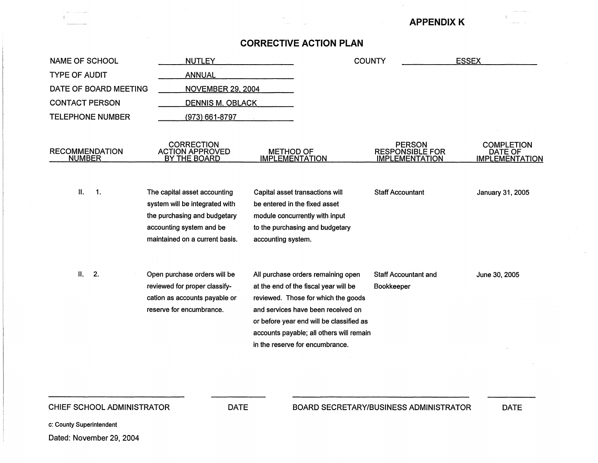#### **APPENDIX K**

#### **CORRECTIVE ACTION PLAN**

| <b>NAME OF SCHOOL</b>                  | <b>NUTLEY</b>                                                                                                                                                |                                                                                                                                                             |                                                                                                                             | <b>COUNTY</b>                                                    | <b>ESSEX</b>                                          |
|----------------------------------------|--------------------------------------------------------------------------------------------------------------------------------------------------------------|-------------------------------------------------------------------------------------------------------------------------------------------------------------|-----------------------------------------------------------------------------------------------------------------------------|------------------------------------------------------------------|-------------------------------------------------------|
| <b>TYPE OF AUDIT</b>                   | <b>ANNUAL</b>                                                                                                                                                |                                                                                                                                                             |                                                                                                                             |                                                                  |                                                       |
| DATE OF BOARD MEETING                  | <b>NOVEMBER 29, 2004</b>                                                                                                                                     |                                                                                                                                                             |                                                                                                                             |                                                                  |                                                       |
| <b>CONTACT PERSON</b>                  | <b>DENNIS M. OBLACK</b>                                                                                                                                      |                                                                                                                                                             |                                                                                                                             |                                                                  |                                                       |
| <b>TELEPHONE NUMBER</b>                | (973) 661-8797                                                                                                                                               |                                                                                                                                                             |                                                                                                                             |                                                                  |                                                       |
| <b>RECOMMENDATION</b><br><b>NUMBER</b> | <b>CORRECTION</b><br><b>ACTION APPROVED</b><br><u>BY THE BOARD</u>                                                                                           | <b>METHOD OF</b><br><b>IMPLEMENTATION</b>                                                                                                                   |                                                                                                                             | <b>PERSON</b><br><b>RESPONSIBLE FOR</b><br><b>IMPLEMENTATION</b> | <b>COMPLETION</b><br>DATE OF<br><b>IMPLEMENTATION</b> |
| П.<br>$\overline{1}$ .                 | The capital asset accounting<br>system will be integrated with<br>the purchasing and budgetary<br>accounting system and be<br>maintained on a current basis. | Capital asset transactions will<br>be entered in the fixed asset<br>module concurrently with input<br>to the purchasing and budgetary<br>accounting system. |                                                                                                                             | <b>Staff Accountant</b>                                          | January 31, 2005                                      |
| П.<br>2.                               | Open purchase orders will be<br>reviewed for proper classify-<br>cation as accounts payable or<br>reserve for encumbrance.                                   | All purchase orders remaining open<br>at the end of the fiscal year will be<br>and services have been received on<br>in the reserve for encumbrance.        | reviewed. Those for which the goods<br>or before year end will be classified as<br>accounts payable; all others will remain | <b>Staff Accountant and</b><br>Bookkeeper                        | June 30, 2005                                         |

CHIEF SCHOOL ADMINISTRATOR DATE

DATE

c: County Superintendent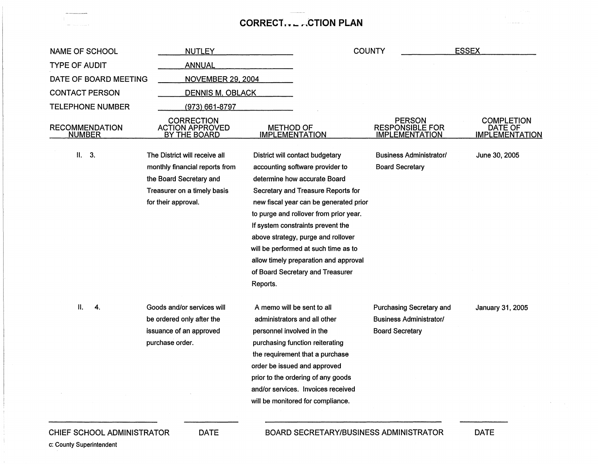## **CORRECT .• - .,-,CTION PLAN**

| <b>NAME OF SCHOOL</b>                  | <b>NUTLEY</b>                                               |                                                                           | <b>COUNTY</b>                                                    | <b>ESSEX</b>                                          |
|----------------------------------------|-------------------------------------------------------------|---------------------------------------------------------------------------|------------------------------------------------------------------|-------------------------------------------------------|
| <b>TYPE OF AUDIT</b>                   | ANNUAL                                                      |                                                                           |                                                                  |                                                       |
| DATE OF BOARD MEETING                  | <b>NOVEMBER 29, 2004</b>                                    |                                                                           |                                                                  |                                                       |
| <b>CONTACT PERSON</b>                  | <b>DENNIS M. OBLACK</b>                                     |                                                                           |                                                                  |                                                       |
| <b>TELEPHONE NUMBER</b>                | (973) 661-8797                                              |                                                                           |                                                                  |                                                       |
| <b>RECOMMENDATION</b><br><b>NUMBER</b> | <b>CORRECTION</b><br><b>ACTION APPROVED</b><br>BY THE BOARD | <b>METHOD OF</b><br><b>IMPLEMENTATION</b>                                 | <b>PERSON</b><br><b>RESPONSIBLE FOR</b><br><b>IMPLEMENTATION</b> | <b>COMPLETION</b><br>DATE OF<br><b>IMPLEMENTATION</b> |
| II.<br>3.                              | The District will receive all                               | District will contact budgetary                                           | <b>Business Administrator/</b>                                   | June 30, 2005                                         |
|                                        | monthly financial reports from<br>the Board Secretary and   | accounting software provider to<br>determine how accurate Board           | <b>Board Secretary</b>                                           |                                                       |
|                                        | Treasurer on a timely basis                                 | Secretary and Treasure Reports for                                        |                                                                  |                                                       |
|                                        | for their approval.                                         | new fiscal year can be generated prior                                    |                                                                  |                                                       |
|                                        |                                                             | to purge and rollover from prior year.                                    |                                                                  |                                                       |
|                                        |                                                             | If system constraints prevent the                                         |                                                                  |                                                       |
|                                        |                                                             | above strategy, purge and rollover                                        |                                                                  |                                                       |
|                                        |                                                             | will be performed at such time as to                                      |                                                                  |                                                       |
|                                        |                                                             | allow timely preparation and approval<br>of Board Secretary and Treasurer |                                                                  |                                                       |
|                                        |                                                             | Reports.                                                                  |                                                                  |                                                       |
|                                        |                                                             |                                                                           |                                                                  |                                                       |
| Н.<br>4.                               | Goods and/or services will                                  | A memo will be sent to all                                                | Purchasing Secretary and                                         | January 31, 2005                                      |
|                                        | be ordered only after the                                   | administrators and all other                                              | <b>Business Administrator/</b>                                   |                                                       |
|                                        | issuance of an approved                                     | personnel involved in the                                                 | <b>Board Secretary</b>                                           |                                                       |
|                                        | purchase order.                                             | purchasing function reiterating<br>the requirement that a purchase        |                                                                  |                                                       |
|                                        |                                                             | order be issued and approved                                              |                                                                  |                                                       |
|                                        |                                                             | prior to the ordering of any goods                                        |                                                                  |                                                       |
|                                        |                                                             | and/or services. Invoices received                                        |                                                                  |                                                       |
|                                        |                                                             | will be monitored for compliance.                                         |                                                                  |                                                       |
|                                        |                                                             |                                                                           |                                                                  |                                                       |

CHIEF SCHOOL ADMINISTRATOR

DATE

DATE

c: County Superintendent

الهيون بالمتباطئ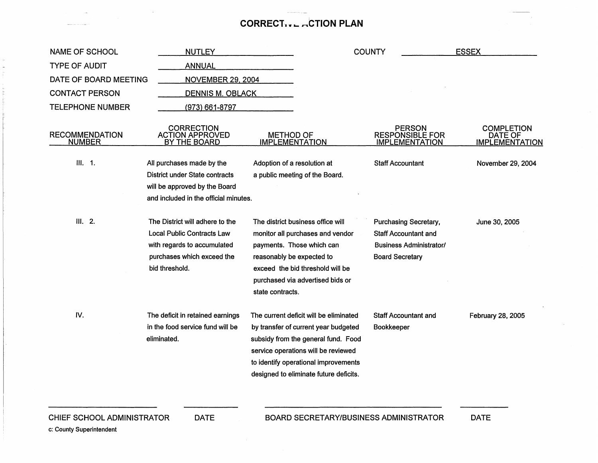## **CORRECT... ACTION PLAN**

| <b>NAME OF SCHOOL</b>                  | <b>NUTLEY</b>                                                                                                                                       |                                                                                                                                                                                                                                                | <b>COUNTY</b>                                                                                                    | <b>ESSEX</b>                                          |
|----------------------------------------|-----------------------------------------------------------------------------------------------------------------------------------------------------|------------------------------------------------------------------------------------------------------------------------------------------------------------------------------------------------------------------------------------------------|------------------------------------------------------------------------------------------------------------------|-------------------------------------------------------|
| <b>TYPE OF AUDIT</b>                   | <b>ANNUAL</b>                                                                                                                                       |                                                                                                                                                                                                                                                |                                                                                                                  |                                                       |
| DATE OF BOARD MEETING                  | <b>NOVEMBER 29, 2004</b>                                                                                                                            |                                                                                                                                                                                                                                                |                                                                                                                  |                                                       |
| <b>CONTACT PERSON</b>                  | <b>DENNIS M. OBLACK</b>                                                                                                                             |                                                                                                                                                                                                                                                |                                                                                                                  |                                                       |
| <b>TELEPHONE NUMBER</b>                | (973) 661-8797                                                                                                                                      |                                                                                                                                                                                                                                                |                                                                                                                  |                                                       |
| <b>RECOMMENDATION</b><br><b>NUMBER</b> | <b>CORRECTION</b><br><b>ACTION APPROVED</b><br>BY THE BOARD                                                                                         | <b>METHOD OF</b><br><b>IMPLEMENTATION</b>                                                                                                                                                                                                      | <b>PERSON</b><br><b>RESPONSIBLE FOR</b><br><b>IMPLEMENTATION</b>                                                 | <b>COMPLETION</b><br>DATE OF<br><b>IMPLEMENTATION</b> |
| III. 1.                                | All purchases made by the<br>District under State contracts<br>will be approved by the Board<br>and included in the official minutes.               | Adoption of a resolution at<br>a public meeting of the Board.                                                                                                                                                                                  | <b>Staff Accountant</b>                                                                                          | November 29, 2004                                     |
| III. 2.                                | The District will adhere to the<br><b>Local Public Contracts Law</b><br>with regards to accumulated<br>purchases which exceed the<br>bid threshold. | The district business office will<br>monitor all purchases and vendor<br>payments. Those which can<br>reasonably be expected to<br>exceed the bid threshold will be<br>purchased via advertised bids or<br>state contracts.                    | <b>Purchasing Secretary,</b><br><b>Staff Accountant and</b><br>Business Administrator/<br><b>Board Secretary</b> | June 30, 2005                                         |
| IV.                                    | The deficit in retained earnings<br>in the food service fund will be<br>eliminated.                                                                 | The current deficit will be eliminated<br>by transfer of current year budgeted<br>subsidy from the general fund. Food<br>service operations will be reviewed<br>to identify operational improvements<br>designed to eliminate future deficits. | <b>Staff Accountant and</b><br>Bookkeeper                                                                        | February 28, 2005                                     |
| CHIEF SCHOOL ADMINISTRATOR             | <b>DATE</b>                                                                                                                                         |                                                                                                                                                                                                                                                | <b>BOARD SECRETARY/BUSINESS ADMINISTRATOR</b>                                                                    | <b>DATE</b>                                           |

c: County Superintendent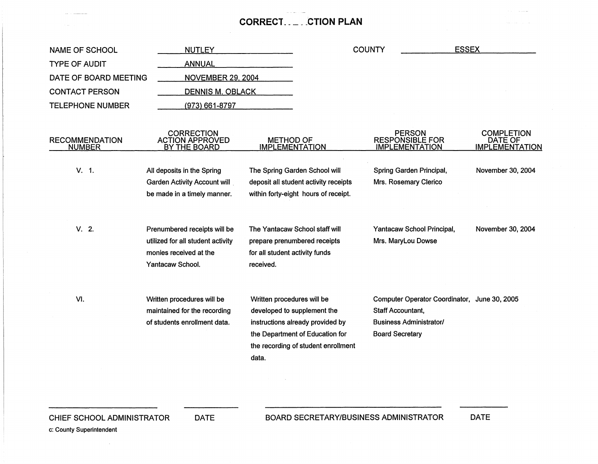#### **CORRECT.** \_\_\_ **.CTION PLAN**

| <b>NUTLEY</b><br><b>NAME OF SCHOOL</b> |                                                                                                                 |                                             | <b>COUNTY</b>                                                                                                                             | <b>ESSEX</b>                                |                                                                                |                                                       |
|----------------------------------------|-----------------------------------------------------------------------------------------------------------------|---------------------------------------------|-------------------------------------------------------------------------------------------------------------------------------------------|---------------------------------------------|--------------------------------------------------------------------------------|-------------------------------------------------------|
| <b>TYPE OF AUDIT</b>                   | <b>ANNUAL</b>                                                                                                   |                                             |                                                                                                                                           |                                             |                                                                                |                                                       |
| DATE OF BOARD MEETING                  | <b>NOVEMBER 29, 2004</b>                                                                                        |                                             |                                                                                                                                           |                                             |                                                                                |                                                       |
| <b>CONTACT PERSON</b>                  | <b>DENNIS M. OBLACK</b>                                                                                         |                                             |                                                                                                                                           |                                             |                                                                                |                                                       |
| <b>TELEPHONE NUMBER</b>                | $(973) 661 - 8797$                                                                                              |                                             |                                                                                                                                           |                                             |                                                                                |                                                       |
| <b>RECOMMENDATION</b><br><b>NUMBER</b> | <b>CORRECTION</b><br><b>ACTION APPROVED</b><br>BY THE BOARD                                                     | <b>METHOD OF</b><br><b>IMPLEMENTATION</b>   |                                                                                                                                           |                                             | <b>PERSON</b><br><b>RESPONSIBLE FOR</b><br>IMPLEMENTATION                      | <b>COMPLETION</b><br>DATE OF<br><b>IMPLEMENTATION</b> |
| V. 1.                                  | All deposits in the Spring<br>Garden Activity Account will<br>be made in a timely manner.                       |                                             | The Spring Garden School will<br>deposit all student activity receipts<br>within forty-eight hours of receipt.                            |                                             | Spring Garden Principal,<br>Mrs. Rosemary Clerico                              | November 30, 2004                                     |
| V. 2.                                  | Prenumbered receipts will be<br>utilized for all student activity<br>monies received at the<br>Yantacaw School. | for all student activity funds<br>received. | The Yantacaw School staff will<br>prepare prenumbered receipts                                                                            |                                             | Yantacaw School Principal,<br>Mrs. MaryLou Dowse                               | November 30, 2004                                     |
| VI.                                    | Written procedures will be<br>maintained for the recording<br>of students enrollment data.                      | Written procedures will be<br>data.         | developed to supplement the<br>instructions already provided by<br>the Department of Education for<br>the recording of student enrollment | Staff Accountant,<br><b>Board Secretary</b> | Computer Operator Coordinator, June 30, 2005<br><b>Business Administrator/</b> |                                                       |

 $\sim$